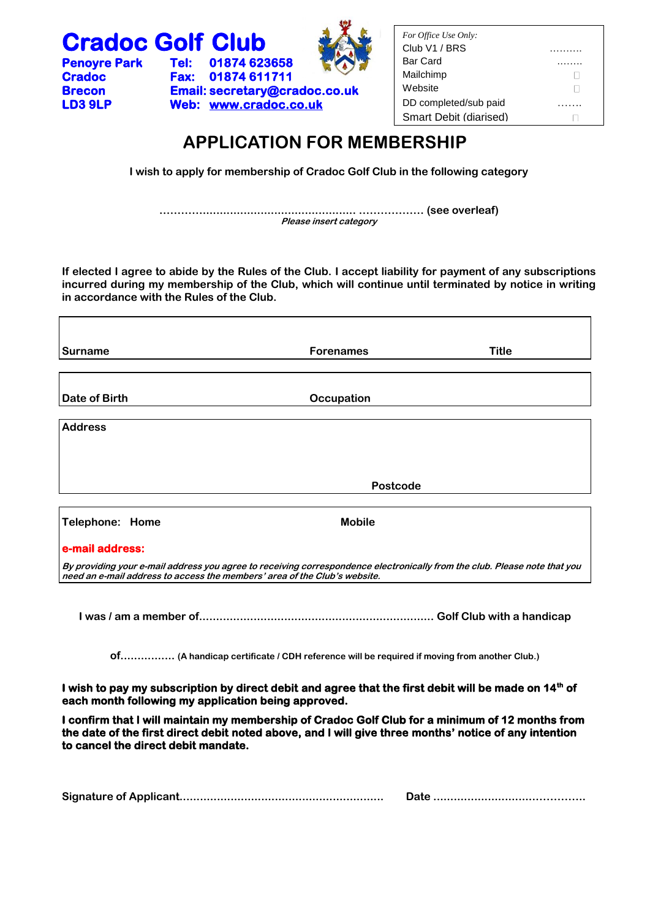

# **APPLICATION FOR MEMBERSHIP**

**I wish to apply for membership of Cradoc Golf Club in the following category**

**…………............................................. ……………… (see overleaf) Please insert category**

**If elected I agree to abide by the Rules of the Club. I accept liability for payment of any subscriptions incurred during my membership of the Club, which will continue until terminated by notice in writing in accordance with the Rules of the Club.**

| Surname         | <b>Forenames</b> | <b>Title</b> |
|-----------------|------------------|--------------|
|                 |                  |              |
|                 |                  |              |
| Date of Birth   | Occupation       |              |
|                 |                  |              |
| <b>Address</b>  |                  |              |
|                 |                  |              |
|                 |                  |              |
|                 |                  |              |
|                 | Postcode         |              |
|                 |                  |              |
| Telephone: Home | <b>Mobile</b>    |              |
| e-mail address: |                  |              |
|                 |                  |              |

**By providing your e-mail address you agree to receiving correspondence electronically from the club. Please note that you need an e-mail address to access the members' area of the Club's website.**

**I was / am a member of..................................................................... Golf Club with a handicap** 

**of................ (A handicap certificate / CDH reference will be required if moving from another Club.)**

**I** wish to pay my subscription by direct debit and agree that the first debit will be made on 14<sup>th</sup> of **each month following my application being approved.** 

**I confirm that I will maintain my membership of Cradoc Golf Club for a minimum of 12 months from the date of the first direct debit noted above, and I will give three months' notice of any intention to cancel the direct debit mandate.** 

|--|--|